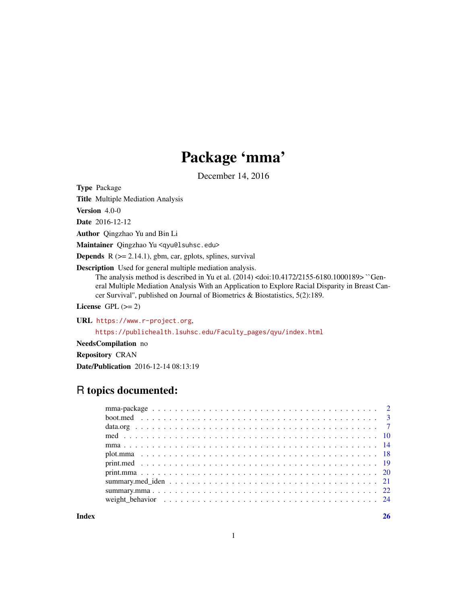# Package 'mma'

December 14, 2016

Type Package

Title Multiple Mediation Analysis

Version 4.0-0

Date 2016-12-12

Author Qingzhao Yu and Bin Li

Maintainer Qingzhao Yu <qyu@lsuhsc.edu>

**Depends**  $R$  ( $>= 2.14.1$ ), gbm, car, gplots, splines, survival

Description Used for general multiple mediation analysis.

The analysis method is described in Yu et al. (2014) <doi:10.4172/2155-6180.1000189> ``General Multiple Mediation Analysis With an Application to Explore Racial Disparity in Breast Cancer Survival'', published on Journal of Biometrics & Biostatistics, 5(2):189.

License GPL  $(>= 2)$ 

URL <https://www.r-project.org>,

[https://publichealth.lsuhsc.edu/Faculty\\_pages/qyu/index.html](https://publichealth.lsuhsc.edu/Faculty_pages/qyu/index.html)

NeedsCompilation no

Repository CRAN

Date/Publication 2016-12-14 08:13:19

# R topics documented:

**Index** [26](#page-25-0)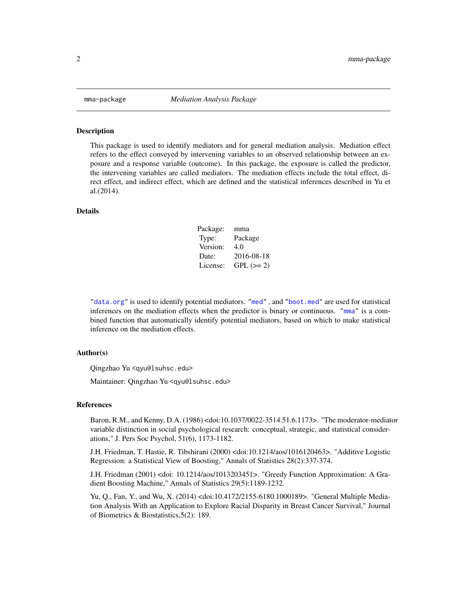<span id="page-1-0"></span>

#### Description

This package is used to identify mediators and for general mediation analysis. Mediation effect refers to the effect conveyed by intervening variables to an observed relationship between an exposure and a response variable (outcome). In this package, the exposure is called the predictor, the intervening variables are called mediators. The mediation effects include the total effect, direct effect, and indirect effect, which are defined and the statistical inferences described in Yu et al.(2014).

#### Details

| Package: | mma         |
|----------|-------------|
| Type:    | Package     |
| Version: | 4.0         |
| Date:    | 2016-08-18  |
| License: | $GPL (= 2)$ |

["data.org"](#page-6-1) is used to identify potential mediators. ["med"](#page-9-1) , and ["boot.med"](#page-2-1) are used for statistical inferences on the mediation effects when the predictor is binary or continuous. ["mma"](#page-13-1) is a combined function that automatically identify potential mediators, based on which to make statistical inference on the mediation effects.

#### Author(s)

Qingzhao Yu <qyu@lsuhsc.edu>

Maintainer: Qingzhao Yu <qyu@lsuhsc.edu>

#### References

Baron, R.M., and Kenny, D.A. (1986) <doi:10.1037/0022-3514.51.6.1173>. "The moderator-mediator variable distinction in social psychological research: conceptual, strategic, and statistical considerations," J. Pers Soc Psychol, 51(6), 1173-1182.

J.H. Friedman, T. Hastie, R. Tibshirani (2000) <doi:10.1214/aos/1016120463>. "Additive Logistic Regression: a Statistical View of Boosting," Annals of Statistics 28(2):337-374.

J.H. Friedman (2001) <doi: 10.1214/aos/1013203451>. "Greedy Function Approximation: A Gradient Boosting Machine," Annals of Statistics 29(5):1189-1232.

Yu, Q., Fan, Y., and Wu, X. (2014) <doi:10.4172/2155-6180.1000189>. "General Multiple Mediation Analysis With an Application to Explore Racial Disparity in Breast Cancer Survival," Journal of Biometrics & Biostatistics,5(2): 189.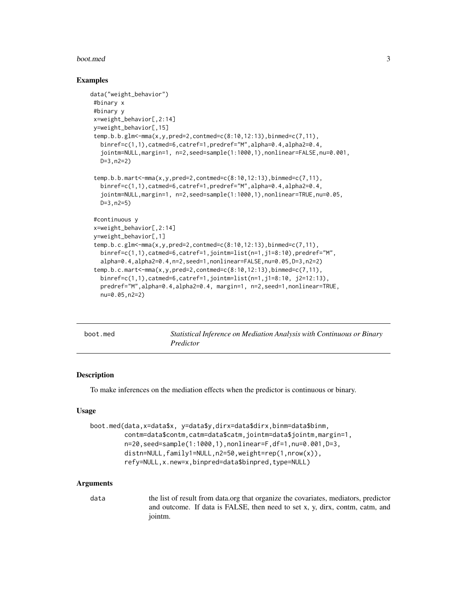#### <span id="page-2-0"></span>boot.med 3

#### Examples

```
data("weight_behavior")
#binary x
 #binary y
 x=weight_behavior[,2:14]
 y=weight_behavior[,15]
 temp.b.b.glm<-mma(x,y,pred=2,contmed=c(8:10,12:13),binmed=c(7,11),
  binref=c(1,1),catmed=6,catref=1,predref="M",alpha=0.4,alpha2=0.4,
   jointm=NULL,margin=1, n=2,seed=sample(1:1000,1),nonlinear=FALSE,nu=0.001,
  D=3,n2=2)
 temp.b.b.mart<-mma(x,y,pred=2,contmed=c(8:10,12:13),binmed=c(7,11),
  binref=c(1,1),catmed=6,catref=1,predref="M",alpha=0.4,alpha2=0.4,
   jointm=NULL,margin=1, n=2,seed=sample(1:1000,1),nonlinear=TRUE,nu=0.05,
  D=3,n2=5)
 #continuous y
 x=weight_behavior[,2:14]
 y=weight_behavior[,1]
 temp.b.c.glm<-mma(x,y,pred=2,contmed=c(8:10,12:13),binmed=c(7,11),
  binref=c(1,1),catmed=6,catref=1,jointm=list(n=1,j1=8:10),predref="M",
   alpha=0.4,alpha2=0.4,n=2,seed=1,nonlinear=FALSE,nu=0.05,D=3,n2=2)
 temp.b.c.mart<-mma(x,y,pred=2,contmed=c(8:10,12:13),binmed=c(7,11),
   binref=c(1,1),catmed=6,catref=1,jointm=list(n=1,j1=8:10, j2=12:13),
  predref="M",alpha=0.4,alpha2=0.4, margin=1, n=2,seed=1,nonlinear=TRUE,
  nu=0.05,n2=2)
```
<span id="page-2-1"></span>

| boot.med | Statistical Inference on Mediation Analysis with Continuous or Binary |
|----------|-----------------------------------------------------------------------|
|          | Predictor                                                             |

#### **Description**

To make inferences on the mediation effects when the predictor is continuous or binary.

#### Usage

```
boot.med(data,x=data$x, y=data$y,dirx=data$dirx,binm=data$binm,
         contm=data$contm,catm=data$catm,jointm=data$jointm,margin=1,
         n=20,seed=sample(1:1000,1),nonlinear=F,df=1,nu=0.001,D=3,
         distn=NULL,family1=NULL,n2=50,weight=rep(1,nrow(x)),
         refy=NULL,x.new=x,binpred=data$binpred,type=NULL)
```
#### Arguments

data the list of result from data.org that organize the covariates, mediators, predictor and outcome. If data is FALSE, then need to set x, y, dirx, contm, catm, and jointm.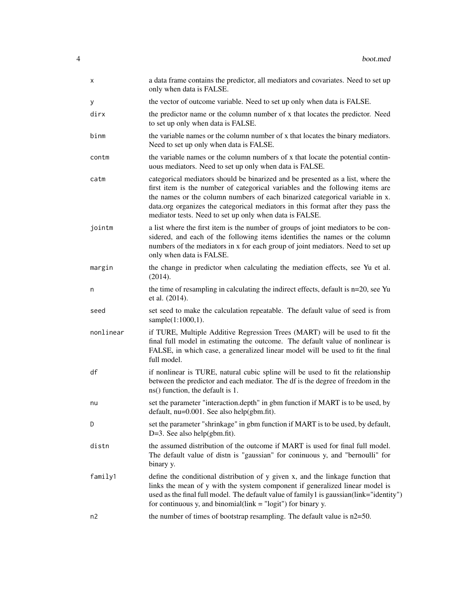| x         | a data frame contains the predictor, all mediators and covariates. Need to set up<br>only when data is FALSE.                                                                                                                                                                                                                                                                                  |
|-----------|------------------------------------------------------------------------------------------------------------------------------------------------------------------------------------------------------------------------------------------------------------------------------------------------------------------------------------------------------------------------------------------------|
| У         | the vector of outcome variable. Need to set up only when data is FALSE.                                                                                                                                                                                                                                                                                                                        |
| dirx      | the predictor name or the column number of x that locates the predictor. Need<br>to set up only when data is FALSE.                                                                                                                                                                                                                                                                            |
| binm      | the variable names or the column number of x that locates the binary mediators.<br>Need to set up only when data is FALSE.                                                                                                                                                                                                                                                                     |
| contm     | the variable names or the column numbers of x that locate the potential contin-<br>uous mediators. Need to set up only when data is FALSE.                                                                                                                                                                                                                                                     |
| catm      | categorical mediators should be binarized and be presented as a list, where the<br>first item is the number of categorical variables and the following items are<br>the names or the column numbers of each binarized categorical variable in x.<br>data.org organizes the categorical mediators in this format after they pass the<br>mediator tests. Need to set up only when data is FALSE. |
| jointm    | a list where the first item is the number of groups of joint mediators to be con-<br>sidered, and each of the following items identifies the names or the column<br>numbers of the mediators in x for each group of joint mediators. Need to set up<br>only when data is FALSE.                                                                                                                |
| margin    | the change in predictor when calculating the mediation effects, see Yu et al.<br>(2014).                                                                                                                                                                                                                                                                                                       |
| n         | the time of resampling in calculating the indirect effects, default is $n=20$ , see Yu<br>et al. (2014).                                                                                                                                                                                                                                                                                       |
| seed      | set seed to make the calculation repeatable. The default value of seed is from<br>sample(1:1000,1).                                                                                                                                                                                                                                                                                            |
| nonlinear | if TURE, Multiple Additive Regression Trees (MART) will be used to fit the<br>final full model in estimating the outcome. The default value of nonlinear is<br>FALSE, in which case, a generalized linear model will be used to fit the final<br>full model.                                                                                                                                   |
| df        | if nonlinear is TURE, natural cubic spline will be used to fit the relationship<br>between the predictor and each mediator. The df is the degree of freedom in the<br>ns() function, the default is 1.                                                                                                                                                                                         |
| nu        | set the parameter "interaction.depth" in gbm function if MART is to be used, by<br>default, nu=0.001. See also help(gbm.fit).                                                                                                                                                                                                                                                                  |
| D         | set the parameter "shrinkage" in gbm function if MART is to be used, by default,<br>$D=3$ . See also help(gbm.fit).                                                                                                                                                                                                                                                                            |
| distn     | the assumed distribution of the outcome if MART is used for final full model.<br>The default value of distn is "gaussian" for coninuous y, and "bernoulli" for<br>binary y.                                                                                                                                                                                                                    |
| family1   | define the conditional distribution of y given x, and the linkage function that<br>links the mean of y with the system component if generalized linear model is<br>used as the final full model. The default value of family 1 is gaussian(link="identity")<br>for continuous y, and binomial(link $=$ "logit") for binary y.                                                                  |
| n2        | the number of times of bootstrap resampling. The default value is $n2=50$ .                                                                                                                                                                                                                                                                                                                    |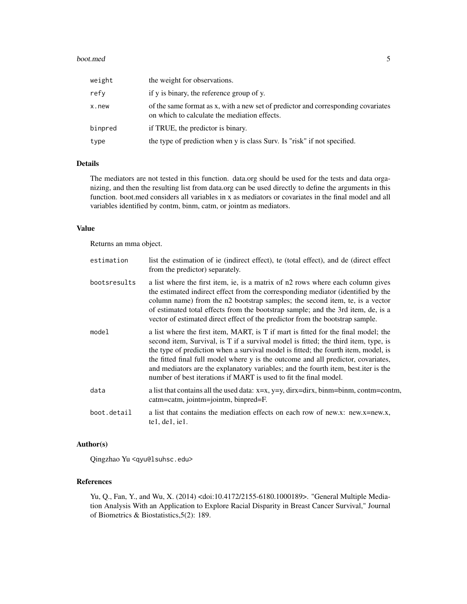#### boot.med 5

| weight  | the weight for observations.                                                                                                      |
|---------|-----------------------------------------------------------------------------------------------------------------------------------|
| refy    | if y is binary, the reference group of y.                                                                                         |
| x.new   | of the same format as x, with a new set of predictor and corresponding covariates<br>on which to calculate the mediation effects. |
| binpred | if TRUE, the predictor is binary.                                                                                                 |
| type    | the type of prediction when y is class Surv. Is "risk" if not specified.                                                          |
|         |                                                                                                                                   |

# Details

The mediators are not tested in this function. data.org should be used for the tests and data organizing, and then the resulting list from data.org can be used directly to define the arguments in this function. boot.med considers all variables in x as mediators or covariates in the final model and all variables identified by contm, binm, catm, or jointm as mediators.

# Value

Returns an mma object.

| estimation   | list the estimation of ie (indirect effect), te (total effect), and de (direct effect<br>from the predictor) separately.                                                                                                                                                                                                                                                                                                                                                                                        |
|--------------|-----------------------------------------------------------------------------------------------------------------------------------------------------------------------------------------------------------------------------------------------------------------------------------------------------------------------------------------------------------------------------------------------------------------------------------------------------------------------------------------------------------------|
| bootsresults | a list where the first item, ie, is a matrix of n2 rows where each column gives<br>the estimated indirect effect from the corresponding mediator (identified by the<br>column name) from the n2 bootstrap samples; the second item, te, is a vector<br>of estimated total effects from the bootstrap sample; and the 3rd item, de, is a<br>vector of estimated direct effect of the predictor from the bootstrap sample.                                                                                        |
| model        | a list where the first item, MART, is T if mart is fitted for the final model; the<br>second item, Survival, is T if a survival model is fitted; the third item, type, is<br>the type of prediction when a survival model is fitted; the fourth item, model, is<br>the fitted final full model where y is the outcome and all predictor, covariates,<br>and mediators are the explanatory variables; and the fourth item, best.iter is the<br>number of best iterations if MART is used to fit the final model. |
| data         | a list that contains all the used data: $x=x$ , $y=y$ , dirx=dirx, binm=binm, contm=contm,<br>catm=catm, jointm=jointm, binpred=F.                                                                                                                                                                                                                                                                                                                                                                              |
| boot.detail  | a list that contains the mediation effects on each row of new.x: new.x=new.x,<br>tel, del, iel.                                                                                                                                                                                                                                                                                                                                                                                                                 |

# Author(s)

Qingzhao Yu <qyu@lsuhsc.edu>

#### References

Yu, Q., Fan, Y., and Wu, X. (2014) <doi:10.4172/2155-6180.1000189>. "General Multiple Mediation Analysis With an Application to Explore Racial Disparity in Breast Cancer Survival," Journal of Biometrics & Biostatistics,5(2): 189.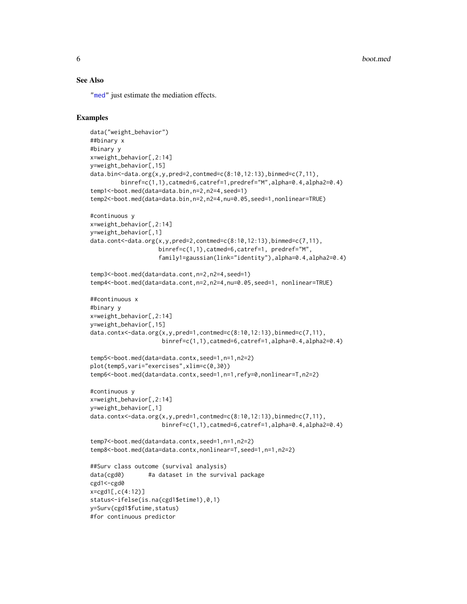#### <span id="page-5-0"></span>See Also

["med"](#page-9-1) just estimate the mediation effects.

#### Examples

```
data("weight_behavior")
##binary x
#binary y
x=weight_behavior[,2:14]
y=weight_behavior[,15]
data.bin<-data.org(x,y,pred=2,contmed=c(8:10,12:13),binmed=c(7,11),
        binref=c(1,1),catmed=6,catref=1,predref="M",alpha=0.4,alpha2=0.4)
temp1<-boot.med(data=data.bin,n=2,n2=4,seed=1)
temp2<-boot.med(data=data.bin,n=2,n2=4,nu=0.05,seed=1,nonlinear=TRUE)
#continuous y
x=weight_behavior[,2:14]
y=weight_behavior[,1]
data.cont<-data.org(x,y,pred=2,contmed=c(8:10,12:13),binmed=c(7,11),
                    binref=c(1,1),catmed=6,catref=1, predref="M",
                    family1=gaussian(link="identity"),alpha=0.4,alpha2=0.4)
temp3<-boot.med(data=data.cont,n=2,n2=4,seed=1)
temp4<-boot.med(data=data.cont,n=2,n2=4,nu=0.05,seed=1, nonlinear=TRUE)
##continuous x
#binary y
x=weight_behavior[,2:14]
y=weight_behavior[,15]
data.contx<-data.org(x,y,pred=1,contmed=c(8:10,12:13),binmed=c(7,11),
                     binref=c(1,1),catmed=6,catref=1,alpha=0.4,alpha2=0.4)
temp5<-boot.med(data=data.contx,seed=1,n=1,n2=2)
plot(temp5,vari="exercises",xlim=c(0,30))
temp6<-boot.med(data=data.contx,seed=1,n=1,refy=0,nonlinear=T,n2=2)
#continuous y
x=weight_behavior[,2:14]
y=weight_behavior[,1]
data.contx<-data.org(x,y,pred=1,contmed=c(8:10,12:13),binmed=c(7,11),
                     binref=c(1,1),catmed=6,catref=1,alpha=0.4,alpha2=0.4)
temp7<-boot.med(data=data.contx,seed=1,n=1,n2=2)
temp8<-boot.med(data=data.contx,nonlinear=T,seed=1,n=1,n2=2)
##Surv class outcome (survival analysis)
data(cgd0) #a dataset in the survival package
cgd1<-cgd0
x=cgd1[,c(4:12)]
status<-ifelse(is.na(cgd1$etime1),0,1)
y=Surv(cgd1$futime,status)
#for continuous predictor
```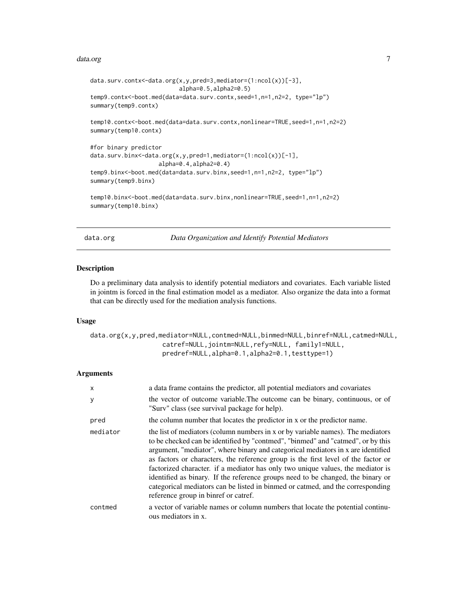#### <span id="page-6-0"></span>data.org **7**

```
data.surv.contx<-data.org(x,y,pred=3,mediator=(1:ncol(x))[-3],
                          alpha=0.5,alpha2=0.5)
temp9.contx<-boot.med(data=data.surv.contx,seed=1,n=1,n2=2, type="lp")
summary(temp9.contx)
temp10.contx<-boot.med(data=data.surv.contx,nonlinear=TRUE,seed=1,n=1,n2=2)
summary(temp10.contx)
#for binary predictor
data.surv.binx<-data.org(x,y,pred=1,mediator=(1:ncol(x))[-1],
                    alpha=0.4,alpha2=0.4)
temp9.binx<-boot.med(data=data.surv.binx,seed=1,n=1,n2=2, type="lp")
summary(temp9.binx)
temp10.binx<-boot.med(data=data.surv.binx,nonlinear=TRUE,seed=1,n=1,n2=2)
summary(temp10.binx)
```
<span id="page-6-1"></span>data.org *Data Organization and Identify Potential Mediators*

#### Description

Do a preliminary data analysis to identify potential mediators and covariates. Each variable listed in jointm is forced in the final estimation model as a mediator. Also organize the data into a format that can be directly used for the mediation analysis functions.

#### Usage

data.org(x,y,pred,mediator=NULL,contmed=NULL,binmed=NULL,binref=NULL,catmed=NULL, catref=NULL,jointm=NULL,refy=NULL, family1=NULL, predref=NULL,alpha=0.1,alpha2=0.1,testtype=1)

# Arguments

| $\mathsf{x}$ | a data frame contains the predictor, all potential mediators and covariates                                                                                                                                                                                                                                                                                                                                                                                                                                                                                                                                                                 |
|--------------|---------------------------------------------------------------------------------------------------------------------------------------------------------------------------------------------------------------------------------------------------------------------------------------------------------------------------------------------------------------------------------------------------------------------------------------------------------------------------------------------------------------------------------------------------------------------------------------------------------------------------------------------|
| y            | the vector of outcome variable. The outcome can be binary, continuous, or of<br>"Surv" class (see survival package for help).                                                                                                                                                                                                                                                                                                                                                                                                                                                                                                               |
| pred         | the column number that locates the predictor in x or the predictor name.                                                                                                                                                                                                                                                                                                                                                                                                                                                                                                                                                                    |
| mediator     | the list of mediators (column numbers in x or by variable names). The mediators<br>to be checked can be identified by "contmed", "binmed" and "catmed", or by this<br>argument, "mediator", where binary and categorical mediators in x are identified<br>as factors or characters, the reference group is the first level of the factor or<br>factorized character. if a mediator has only two unique values, the mediator is<br>identified as binary. If the reference groups need to be changed, the binary or<br>categorical mediators can be listed in binmed or catmed, and the corresponding<br>reference group in binref or catref. |
| contmed      | a vector of variable names or column numbers that locate the potential continu-<br>ous mediators in x.                                                                                                                                                                                                                                                                                                                                                                                                                                                                                                                                      |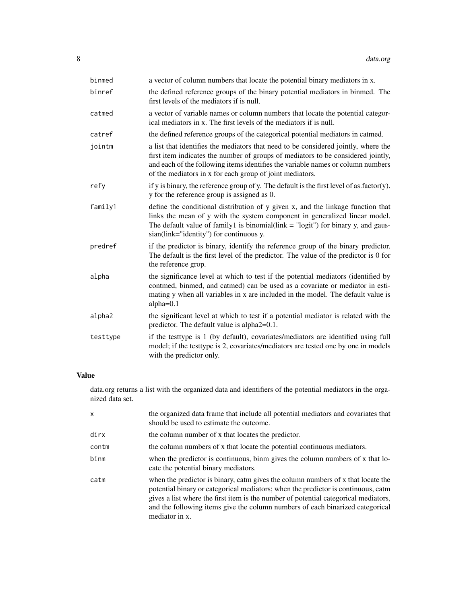| binmed   | a vector of column numbers that locate the potential binary mediators in x.                                                                                                                                                                                                                                           |
|----------|-----------------------------------------------------------------------------------------------------------------------------------------------------------------------------------------------------------------------------------------------------------------------------------------------------------------------|
| binref   | the defined reference groups of the binary potential mediators in binmed. The<br>first levels of the mediators if is null.                                                                                                                                                                                            |
| catmed   | a vector of variable names or column numbers that locate the potential categor-<br>ical mediators in x. The first levels of the mediators if is null.                                                                                                                                                                 |
| catref   | the defined reference groups of the categorical potential mediators in catmed.                                                                                                                                                                                                                                        |
| jointm   | a list that identifies the mediators that need to be considered jointly, where the<br>first item indicates the number of groups of mediators to be considered jointly,<br>and each of the following items identifies the variable names or column numbers<br>of the mediators in x for each group of joint mediators. |
| refy     | if y is binary, the reference group of y. The default is the first level of as $factor(y)$ .<br>y for the reference group is assigned as 0.                                                                                                                                                                           |
| family1  | define the conditional distribution of y given x, and the linkage function that<br>links the mean of y with the system component in generalized linear model.<br>The default value of family1 is binomial(link $=$ "logit") for binary y, and gaus-<br>sian(link="identity") for continuous y.                        |
| predref  | if the predictor is binary, identify the reference group of the binary predictor.<br>The default is the first level of the predictor. The value of the predictor is 0 for<br>the reference grop.                                                                                                                      |
| alpha    | the significance level at which to test if the potential mediators (identified by<br>contmed, binmed, and catmed) can be used as a covariate or mediator in esti-<br>mating y when all variables in x are included in the model. The default value is<br>$alpha=0.1$                                                  |
| alpha2   | the significant level at which to test if a potential mediator is related with the<br>predictor. The default value is alpha2=0.1.                                                                                                                                                                                     |
| testtype | if the testtype is 1 (by default), covariates/mediators are identified using full<br>model; if the testtype is 2, covariates/mediators are tested one by one in models<br>with the predictor only.                                                                                                                    |

# Value

data.org returns a list with the organized data and identifiers of the potential mediators in the organized data set.

| x     | the organized data frame that include all potential mediators and covariates that<br>should be used to estimate the outcome.                                                                                                                                                                                                                                    |
|-------|-----------------------------------------------------------------------------------------------------------------------------------------------------------------------------------------------------------------------------------------------------------------------------------------------------------------------------------------------------------------|
| dirx  | the column number of x that locates the predictor.                                                                                                                                                                                                                                                                                                              |
| contm | the column numbers of x that locate the potential continuous mediators.                                                                                                                                                                                                                                                                                         |
| binm  | when the predictor is continuous, binm gives the column numbers of x that lo-<br>cate the potential binary mediators.                                                                                                                                                                                                                                           |
| catm  | when the predictor is binary, catm gives the column numbers of x that locate the<br>potential binary or categorical mediators; when the predictor is continuous, catm<br>gives a list where the first item is the number of potential categorical mediators,<br>and the following items give the column numbers of each binarized categorical<br>mediator in x. |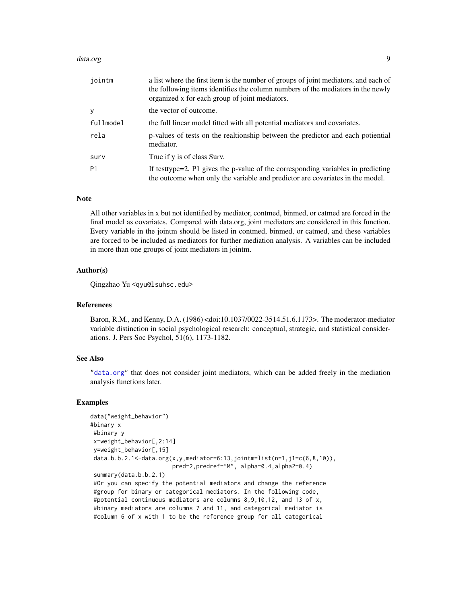#### <span id="page-8-0"></span>data.org **9**

| jointm    | a list where the first item is the number of groups of joint mediators, and each of<br>the following items identifies the column numbers of the mediators in the newly<br>organized x for each group of joint mediators. |
|-----------|--------------------------------------------------------------------------------------------------------------------------------------------------------------------------------------------------------------------------|
| У         | the vector of outcome.                                                                                                                                                                                                   |
| fullmodel | the full linear model fitted with all potential mediators and covariates.                                                                                                                                                |
| rela      | p-values of tests on the realtionship between the predictor and each potiential<br>mediator.                                                                                                                             |
| surv      | True if y is of class Surv.                                                                                                                                                                                              |
| P1        | If testtype=2, P1 gives the p-value of the corresponding variables in predicting<br>the outcome when only the variable and predictor are covariates in the model.                                                        |

#### Note

All other variables in x but not identified by mediator, contmed, binmed, or catmed are forced in the final model as covariates. Compared with data.org, joint mediators are considered in this function. Every variable in the jointm should be listed in contmed, binmed, or catmed, and these variables are forced to be included as mediators for further mediation analysis. A variables can be included in more than one groups of joint mediators in jointm.

#### Author(s)

Qingzhao Yu <qyu@lsuhsc.edu>

#### References

Baron, R.M., and Kenny, D.A. (1986) <doi:10.1037/0022-3514.51.6.1173>. The moderator-mediator variable distinction in social psychological research: conceptual, strategic, and statistical considerations. J. Pers Soc Psychol, 51(6), 1173-1182.

#### See Also

["data.org"](#page-6-1) that does not consider joint mediators, which can be added freely in the mediation analysis functions later.

#### Examples

```
data("weight_behavior")
#binary x
#binary y
x=weight_behavior[,2:14]
 y=weight_behavior[,15]
 data.b.b.2.1<-data.org(x,y,mediator=6:13,jointm=list(n=1,j1=c(6,8,10)),
                        pred=2,predref="M", alpha=0.4,alpha2=0.4)
 summary(data.b.b.2.1)
 #Or you can specify the potential mediators and change the reference
 #group for binary or categorical mediators. In the following code,
 #potential continuous mediators are columns 8,9,10,12, and 13 of x,
 #binary mediators are columns 7 and 11, and categorical mediator is
 #column 6 of x with 1 to be the reference group for all categorical
```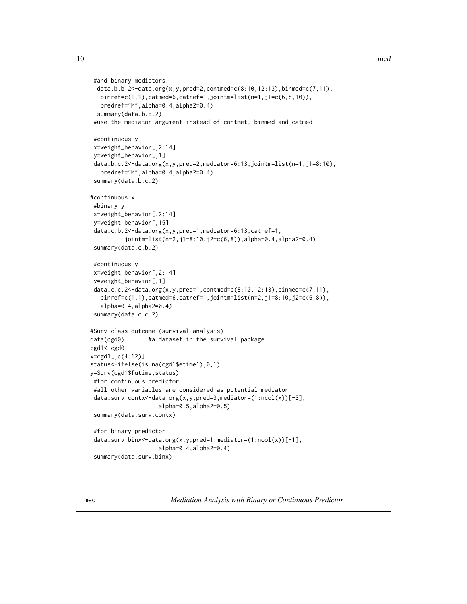```
#and binary mediators.
 data.b.b.2<-data.org(x,y,pred=2,contmed=c(8:10,12:13),binmed=c(7,11),
  binref=c(1,1),catmed=6,catref=1,jointm=list(n=1,j1=c(6,8,10)),
  predref="M",alpha=0.4,alpha2=0.4)
 summary(data.b.b.2)
 #use the mediator argument instead of contmet, binmed and catmed
 #continuous y
 x=weight_behavior[,2:14]
 y=weight_behavior[,1]
 data.b.c.2<-data.org(x,y,pred=2,mediator=6:13,jointm=list(n=1,j1=8:10),
   predref="M",alpha=0.4,alpha2=0.4)
 summary(data.b.c.2)
#continuous x
#binary y
x=weight_behavior[,2:14]
 y=weight_behavior[,15]
 data.c.b.2<-data.org(x,y,pred=1,mediator=6:13,catref=1,
          jointm=list(n=2,j1=8:10,j2=c(6,8)),alpha=0.4,alpha2=0.4)
 summary(data.c.b.2)
 #continuous y
 x=weight_behavior[,2:14]
 y=weight_behavior[,1]
 data.c.c.2<-data.org(x,y,pred=1,contmed=c(8:10,12:13),binmed=c(7,11),
  binref=c(1,1),catmed=6,catref=1,jointm=list(n=2,j1=8:10,j2=c(6,8)),
   alpha=0.4,alpha2=0.4)
 summary(data.c.c.2)
#Surv class outcome (survival analysis)
data(cgd0) #a dataset in the survival package
cgd1<-cgd0
x=cgd1[,c(4:12)]
status<-ifelse(is.na(cgd1$etime1),0,1)
y=Surv(cgd1$futime,status)
#for continuous predictor
 #all other variables are considered as potential mediator
 data.surv.contx<-data.org(x,y,pred=3,mediator=(1:ncol(x))[-3],
                    alpha=0.5,alpha2=0.5)
 summary(data.surv.contx)
 #for binary predictor
 data.surv.binx<-data.org(x,y,pred=1,mediator=(1:ncol(x))[-1],
                    alpha=0.4,alpha2=0.4)
 summary(data.surv.binx)
```
<span id="page-9-1"></span>med *Mediation Analysis with Binary or Continuous Predictor*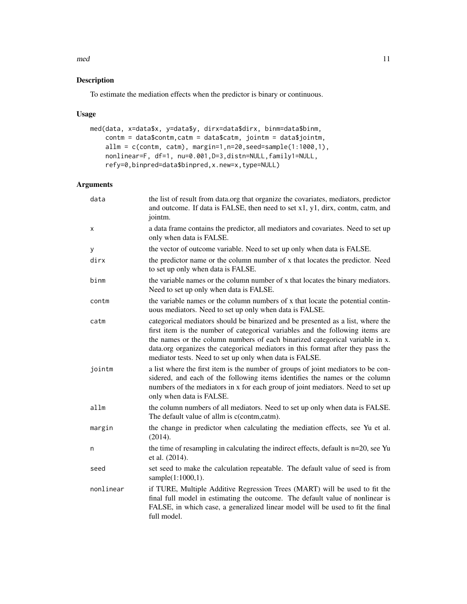#### med 11

# Description

To estimate the mediation effects when the predictor is binary or continuous.

# Usage

```
med(data, x=data$x, y=data$y, dirx=data$dirx, binm=data$binm,
    contm = data$contm,catm = data$catm, jointm = data$jointm,
    allm = c(contm, catm), margin=1,n=20,seed=sample(1:1000,1),
   nonlinear=F, df=1, nu=0.001,D=3,distn=NULL,family1=NULL,
    refy=0,binpred=data$binpred,x.new=x,type=NULL)
```
# Arguments

| data      | the list of result from data.org that organize the covariates, mediators, predictor<br>and outcome. If data is FALSE, then need to set x1, y1, dirx, contm, catm, and<br>jointm.                                                                                                                                                                                                               |
|-----------|------------------------------------------------------------------------------------------------------------------------------------------------------------------------------------------------------------------------------------------------------------------------------------------------------------------------------------------------------------------------------------------------|
| Χ         | a data frame contains the predictor, all mediators and covariates. Need to set up<br>only when data is FALSE.                                                                                                                                                                                                                                                                                  |
| y         | the vector of outcome variable. Need to set up only when data is FALSE.                                                                                                                                                                                                                                                                                                                        |
| dirx      | the predictor name or the column number of x that locates the predictor. Need<br>to set up only when data is FALSE.                                                                                                                                                                                                                                                                            |
| binm      | the variable names or the column number of x that locates the binary mediators.<br>Need to set up only when data is FALSE.                                                                                                                                                                                                                                                                     |
| contm     | the variable names or the column numbers of x that locate the potential contin-<br>uous mediators. Need to set up only when data is FALSE.                                                                                                                                                                                                                                                     |
| catm      | categorical mediators should be binarized and be presented as a list, where the<br>first item is the number of categorical variables and the following items are<br>the names or the column numbers of each binarized categorical variable in x.<br>data.org organizes the categorical mediators in this format after they pass the<br>mediator tests. Need to set up only when data is FALSE. |
| jointm    | a list where the first item is the number of groups of joint mediators to be con-<br>sidered, and each of the following items identifies the names or the column<br>numbers of the mediators in x for each group of joint mediators. Need to set up<br>only when data is FALSE.                                                                                                                |
| allm      | the column numbers of all mediators. Need to set up only when data is FALSE.<br>The default value of allm is c(contm,catm).                                                                                                                                                                                                                                                                    |
| margin    | the change in predictor when calculating the mediation effects, see Yu et al.<br>(2014).                                                                                                                                                                                                                                                                                                       |
| n         | the time of resampling in calculating the indirect effects, default is n=20, see Yu<br>et al. (2014).                                                                                                                                                                                                                                                                                          |
| seed      | set seed to make the calculation repeatable. The default value of seed is from<br>sample(1:1000,1).                                                                                                                                                                                                                                                                                            |
| nonlinear | if TURE, Multiple Additive Regression Trees (MART) will be used to fit the<br>final full model in estimating the outcome. The default value of nonlinear is<br>FALSE, in which case, a generalized linear model will be used to fit the final<br>full model.                                                                                                                                   |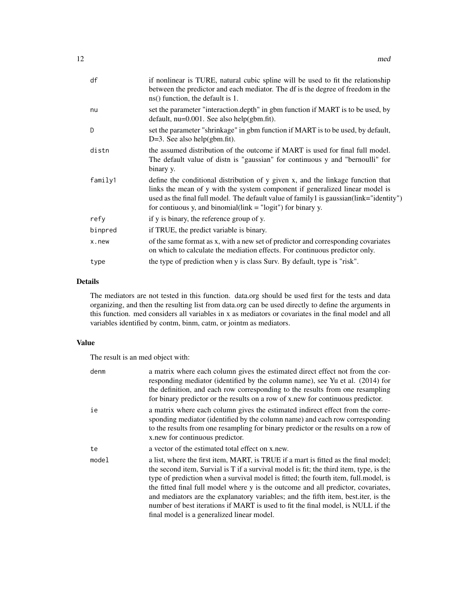| df      | if nonlinear is TURE, natural cubic spline will be used to fit the relationship<br>between the predictor and each mediator. The df is the degree of freedom in the<br>ns() function, the default is 1.                                                                                                                                    |
|---------|-------------------------------------------------------------------------------------------------------------------------------------------------------------------------------------------------------------------------------------------------------------------------------------------------------------------------------------------|
| nu      | set the parameter "interaction.depth" in gbm function if MART is to be used, by<br>default, nu=0.001. See also help(gbm.fit).                                                                                                                                                                                                             |
| D       | set the parameter "shrinkage" in gbm function if MART is to be used, by default,<br>D=3. See also help(gbm.fit).                                                                                                                                                                                                                          |
| distn   | the assumed distribution of the outcome if MART is used for final full model.<br>The default value of distn is "gaussian" for continuous y and "bernoulli" for<br>binary y.                                                                                                                                                               |
| family1 | define the conditional distribution of y given x, and the linkage function that<br>links the mean of y with the system component if generalized linear model is<br>used as the final full model. The default value of family 1 is gaussian(link="identity")<br>for contiuous y, and binomial $\text{link} = \text{"logit"}$ for binary y. |
| refy    | if y is binary, the reference group of y.                                                                                                                                                                                                                                                                                                 |
| binpred | if TRUE, the predict variable is binary.                                                                                                                                                                                                                                                                                                  |
| x.new   | of the same format as x, with a new set of predictor and corresponding covariates<br>on which to calculate the mediation effects. For continuous predictor only.                                                                                                                                                                          |
| type    | the type of prediction when y is class Surv. By default, type is "risk".                                                                                                                                                                                                                                                                  |
|         |                                                                                                                                                                                                                                                                                                                                           |

# Details

The mediators are not tested in this function. data.org should be used first for the tests and data organizing, and then the resulting list from data.org can be used directly to define the arguments in this function. med considers all variables in x as mediators or covariates in the final model and all variables identified by contm, binm, catm, or jointm as mediators.

### Value

The result is an med object with:

| denm  | a matrix where each column gives the estimated direct effect not from the cor-<br>responding mediator (identified by the column name), see Yu et al. (2014) for<br>the definition, and each row corresponding to the results from one resampling<br>for binary predictor or the results on a row of x, new for continuous predictor.                                                                                                                                                                                                                                               |
|-------|------------------------------------------------------------------------------------------------------------------------------------------------------------------------------------------------------------------------------------------------------------------------------------------------------------------------------------------------------------------------------------------------------------------------------------------------------------------------------------------------------------------------------------------------------------------------------------|
| ie    | a matrix where each column gives the estimated indirect effect from the corre-<br>sponding mediator (identified by the column name) and each row corresponding<br>to the results from one resampling for binary predictor or the results on a row of<br>x new for continuous predictor.                                                                                                                                                                                                                                                                                            |
| te    | a vector of the estimated total effect on x.new.                                                                                                                                                                                                                                                                                                                                                                                                                                                                                                                                   |
| model | a list, where the first item, MART, is TRUE if a mart is fitted as the final model;<br>the second item, Survial is T if a survival model is fit; the third item, type, is the<br>type of prediction when a survival model is fitted; the fourth item, full model, is<br>the fitted final full model where y is the outcome and all predictor, covariates,<br>and mediators are the explanatory variables; and the fifth item, best. iter, is the<br>number of best iterations if MART is used to fit the final model, is NULL if the<br>final model is a generalized linear model. |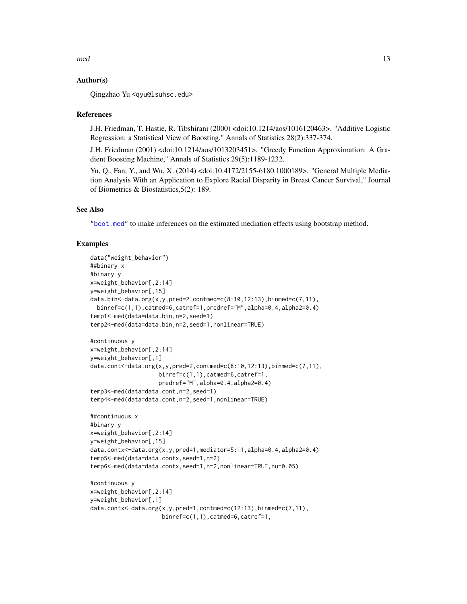<span id="page-12-0"></span> $\mathbf{mod}$  and  $\mathbf{13}$ 

#### Author(s)

Qingzhao Yu <qyu@lsuhsc.edu>

#### References

J.H. Friedman, T. Hastie, R. Tibshirani (2000) <doi:10.1214/aos/1016120463>. "Additive Logistic Regression: a Statistical View of Boosting," Annals of Statistics 28(2):337-374.

J.H. Friedman (2001) <doi:10.1214/aos/1013203451>. "Greedy Function Approximation: A Gradient Boosting Machine," Annals of Statistics 29(5):1189-1232.

Yu, Q., Fan, Y., and Wu, X. (2014) <doi:10.4172/2155-6180.1000189>. "General Multiple Mediation Analysis With an Application to Explore Racial Disparity in Breast Cancer Survival," Journal of Biometrics & Biostatistics,5(2): 189.

#### See Also

["boot.med"](#page-2-1) to make inferences on the estimated mediation effects using bootstrap method.

#### Examples

```
data("weight_behavior")
##binary x
#binary y
x=weight_behavior[,2:14]
y=weight_behavior[,15]
data.bin<-data.org(x,y,pred=2,contmed=c(8:10,12:13),binmed=c(7,11),
 binref=c(1,1),catmed=6,catref=1,predref="M",alpha=0.4,alpha2=0.4)
temp1<-med(data=data.bin,n=2,seed=1)
temp2<-med(data=data.bin,n=2,seed=1,nonlinear=TRUE)
#continuous y
x=weight_behavior[,2:14]
y=weight_behavior[,1]
data.cont<-data.org(x,y,pred=2,contmed=c(8:10,12:13),binmed=c(7,11),
                    binref=c(1,1),catmed=6,catref=1,
                    predref="M",alpha=0.4,alpha2=0.4)
temp3<-med(data=data.cont,n=2,seed=1)
temp4<-med(data=data.cont,n=2,seed=1,nonlinear=TRUE)
##continuous x
#binary y
x=weight_behavior[,2:14]
y=weight_behavior[,15]
data.contx<-data.org(x,y,pred=1,mediator=5:11,alpha=0.4,alpha2=0.4)
temp5<-med(data=data.contx,seed=1,n=2)
temp6<-med(data=data.contx,seed=1,n=2,nonlinear=TRUE,nu=0.05)
#continuous y
x=weight_behavior[,2:14]
y=weight_behavior[,1]
data.contx<-data.org(x,y,pred=1,contmed=c(12:13),binmed=c(7,11),
```
binref=c(1,1),catmed=6,catref=1,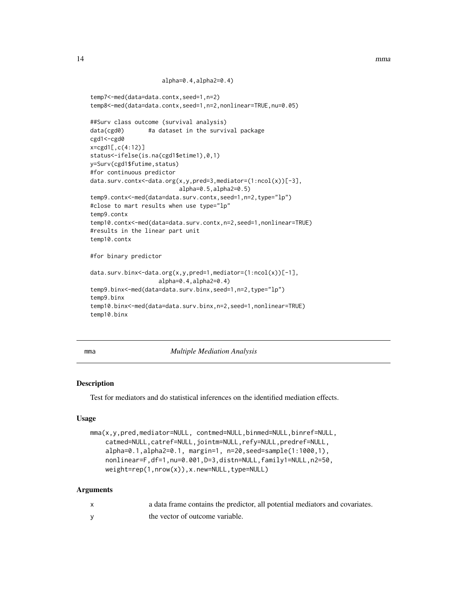```
alpha=0.4,alpha2=0.4)
```

```
temp7<-med(data=data.contx,seed=1,n=2)
temp8<-med(data=data.contx,seed=1,n=2,nonlinear=TRUE,nu=0.05)
##Surv class outcome (survival analysis)
data(cgd0) #a dataset in the survival package
cgd1<-cgd0
x=cgd1[,c(4:12)]
status<-ifelse(is.na(cgd1$etime1),0,1)
y=Surv(cgd1$futime,status)
#for continuous predictor
data.surv.contx<-data.org(x,y,pred=3,mediator=(1:ncol(x))[-3],
                          alpha=0.5,alpha2=0.5)
temp9.contx<-med(data=data.surv.contx,seed=1,n=2,type="lp")
#close to mart results when use type="lp"
temp9.contx
temp10.contx<-med(data=data.surv.contx,n=2,seed=1,nonlinear=TRUE)
#results in the linear part unit
temp10.contx
#for binary predictor
data.surv.binx<-data.org(x,y,pred=1,mediator=(1:ncol(x))[-1],
                    alpha=0.4,alpha2=0.4)
temp9.binx<-med(data=data.surv.binx,seed=1,n=2,type="lp")
temp9.binx
temp10.binx<-med(data=data.surv.binx,n=2,seed=1,nonlinear=TRUE)
temp10.binx
```
<span id="page-13-1"></span>mma *Multiple Mediation Analysis*

#### Description

Test for mediators and do statistical inferences on the identified mediation effects.

#### Usage

```
mma(x,y,pred,mediator=NULL, contmed=NULL,binmed=NULL,binref=NULL,
   catmed=NULL,catref=NULL,jointm=NULL,refy=NULL,predref=NULL,
    alpha=0.1,alpha2=0.1, margin=1, n=20,seed=sample(1:1000,1),
   nonlinear=F,df=1,nu=0.001,D=3,distn=NULL,family1=NULL,n2=50,
   weight=rep(1,nrow(x)),x.new=NULL,type=NULL)
```
# Arguments

| a data frame contains the predictor, all potential mediators and covariates. |
|------------------------------------------------------------------------------|
| the vector of outcome variable.                                              |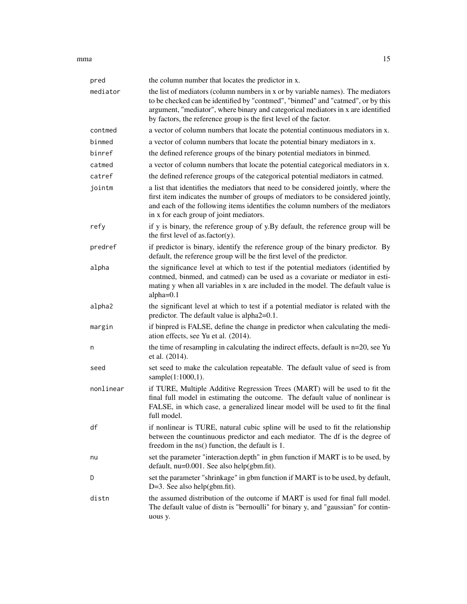$mma$  and  $15$ 

| pred      | the column number that locates the predictor in x.                                                                                                                                                                                                                                                                          |
|-----------|-----------------------------------------------------------------------------------------------------------------------------------------------------------------------------------------------------------------------------------------------------------------------------------------------------------------------------|
| mediator  | the list of mediators (column numbers in x or by variable names). The mediators<br>to be checked can be identified by "contmed", "binmed" and "catmed", or by this<br>argument, "mediator", where binary and categorical mediators in x are identified<br>by factors, the reference group is the first level of the factor. |
| contmed   | a vector of column numbers that locate the potential continuous mediators in x.                                                                                                                                                                                                                                             |
| binmed    | a vector of column numbers that locate the potential binary mediators in x.                                                                                                                                                                                                                                                 |
| binref    | the defined reference groups of the binary potential mediators in binmed.                                                                                                                                                                                                                                                   |
| catmed    | a vector of column numbers that locate the potential categorical mediators in x.                                                                                                                                                                                                                                            |
| catref    | the defined reference groups of the categorical potential mediators in catmed.                                                                                                                                                                                                                                              |
| jointm    | a list that identifies the mediators that need to be considered jointly, where the<br>first item indicates the number of groups of mediators to be considered jointly,<br>and each of the following items identifies the column numbers of the mediators<br>in x for each group of joint mediators.                         |
| refy      | if y is binary, the reference group of y.By default, the reference group will be<br>the first level of as.factor(y).                                                                                                                                                                                                        |
| predref   | if predictor is binary, identify the reference group of the binary predictor. By<br>default, the reference group will be the first level of the predictor.                                                                                                                                                                  |
| alpha     | the significance level at which to test if the potential mediators (identified by<br>contmed, binmed, and catmed) can be used as a covariate or mediator in esti-<br>mating y when all variables in x are included in the model. The default value is<br>alpha=0.1                                                          |
| alpha2    | the significant level at which to test if a potential mediator is related with the<br>predictor. The default value is alpha2=0.1.                                                                                                                                                                                           |
| margin    | if binpred is FALSE, define the change in predictor when calculating the medi-<br>ation effects, see Yu et al. (2014).                                                                                                                                                                                                      |
| n         | the time of resampling in calculating the indirect effects, default is $n=20$ , see Yu<br>et al. (2014).                                                                                                                                                                                                                    |
| seed      | set seed to make the calculation repeatable. The default value of seed is from<br>sample(1:1000,1).                                                                                                                                                                                                                         |
| nonlinear | if TURE, Multiple Additive Regression Trees (MART) will be used to fit the<br>final full model in estimating the outcome. The default value of nonlinear is<br>FALSE, in which case, a generalized linear model will be used to fit the final<br>full model.                                                                |
| df        | if nonlinear is TURE, natural cubic spline will be used to fit the relationship<br>between the countinuous predictor and each mediator. The df is the degree of<br>freedom in the ns() function, the default is 1.                                                                                                          |
| nu        | set the parameter "interaction.depth" in gbm function if MART is to be used, by<br>default, nu=0.001. See also help(gbm.fit).                                                                                                                                                                                               |
| D         | set the parameter "shrinkage" in gbm function if MART is to be used, by default,<br>$D=3$ . See also help(gbm.fit).                                                                                                                                                                                                         |
| distn     | the assumed distribution of the outcome if MART is used for final full model.<br>The default value of distn is "bernoulli" for binary y, and "gaussian" for contin-<br>uous y.                                                                                                                                              |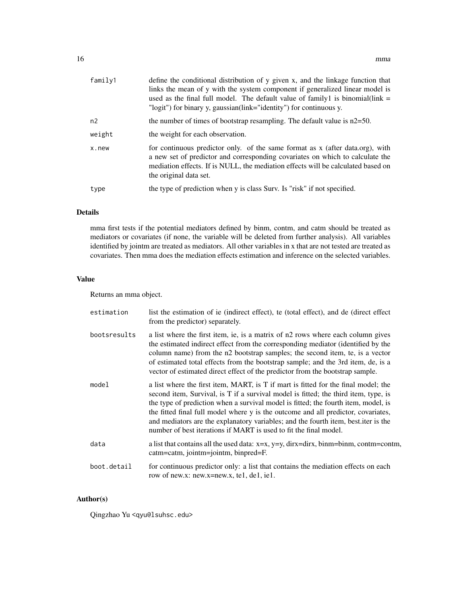| family1 | define the conditional distribution of y given x, and the linkage function that<br>links the mean of y with the system component if generalized linear model is<br>used as the final full model. The default value of family 1 is binomial $(\text{link} =$<br>"logit") for binary y, gaussian(link="identity") for continuous y. |
|---------|-----------------------------------------------------------------------------------------------------------------------------------------------------------------------------------------------------------------------------------------------------------------------------------------------------------------------------------|
| n2      | the number of times of bootstrap resampling. The default value is $n2=50$ .                                                                                                                                                                                                                                                       |
| weight  | the weight for each observation.                                                                                                                                                                                                                                                                                                  |
| x.new   | for continuous predictor only. of the same format as x (after data.org), with<br>a new set of predictor and corresponding covariates on which to calculate the<br>mediation effects. If is NULL, the mediation effects will be calculated based on<br>the original data set.                                                      |
| type    | the type of prediction when y is class Surv. Is "risk" if not specified.                                                                                                                                                                                                                                                          |

# Details

mma first tests if the potential mediators defined by binm, contm, and catm should be treated as mediators or covariates (if none, the variable will be deleted from further analysis). All variables identified by jointm are treated as mediators. All other variables in x that are not tested are treated as covariates. Then mma does the mediation effects estimation and inference on the selected variables.

# Value

Returns an mma object.

| estimation   | list the estimation of ie (indirect effect), te (total effect), and de (direct effect<br>from the predictor) separately.                                                                                                                                                                                                                                                                                                                                                                                        |
|--------------|-----------------------------------------------------------------------------------------------------------------------------------------------------------------------------------------------------------------------------------------------------------------------------------------------------------------------------------------------------------------------------------------------------------------------------------------------------------------------------------------------------------------|
| bootsresults | a list where the first item, ie, is a matrix of n2 rows where each column gives<br>the estimated indirect effect from the corresponding mediator (identified by the<br>column name) from the n2 bootstrap samples; the second item, te, is a vector<br>of estimated total effects from the bootstrap sample; and the 3rd item, de, is a<br>vector of estimated direct effect of the predictor from the bootstrap sample.                                                                                        |
| model        | a list where the first item, MART, is T if mart is fitted for the final model; the<br>second item, Survival, is T if a survival model is fitted; the third item, type, is<br>the type of prediction when a survival model is fitted; the fourth item, model, is<br>the fitted final full model where y is the outcome and all predictor, covariates,<br>and mediators are the explanatory variables; and the fourth item, best iter is the<br>number of best iterations if MART is used to fit the final model. |
| data         | a list that contains all the used data: $x=x$ , $y=y$ , dirx=dirx, binm=binm, contm=contm,<br>catm=catm, jointm=jointm, binpred=F.                                                                                                                                                                                                                                                                                                                                                                              |
| boot.detail  | for continuous predictor only: a list that contains the mediation effects on each<br>row of new.x: new.x=new.x, te1, de1, ie1.                                                                                                                                                                                                                                                                                                                                                                                  |

# Author(s)

Qingzhao Yu <qyu@lsuhsc.edu>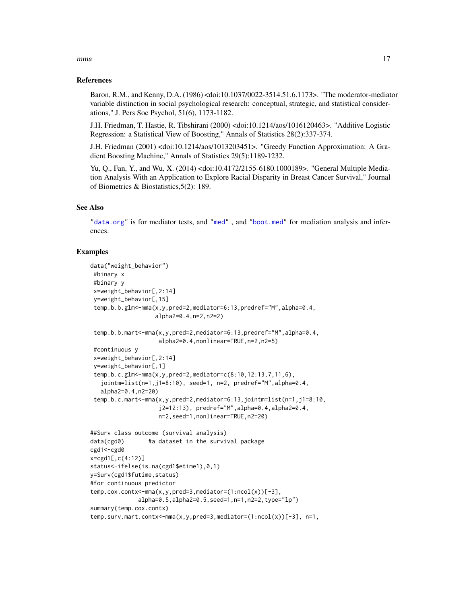## <span id="page-16-0"></span>References

Baron, R.M., and Kenny, D.A. (1986) <doi:10.1037/0022-3514.51.6.1173>. "The moderator-mediator variable distinction in social psychological research: conceptual, strategic, and statistical considerations," J. Pers Soc Psychol, 51(6), 1173-1182.

J.H. Friedman, T. Hastie, R. Tibshirani (2000) <doi:10.1214/aos/1016120463>. "Additive Logistic Regression: a Statistical View of Boosting," Annals of Statistics 28(2):337-374.

J.H. Friedman (2001) <doi:10.1214/aos/1013203451>. "Greedy Function Approximation: A Gradient Boosting Machine," Annals of Statistics 29(5):1189-1232.

Yu, Q., Fan, Y., and Wu, X. (2014) <doi:10.4172/2155-6180.1000189>. "General Multiple Mediation Analysis With an Application to Explore Racial Disparity in Breast Cancer Survival," Journal of Biometrics & Biostatistics,5(2): 189.

#### See Also

["data.org"](#page-6-1) is for mediator tests, and ["med"](#page-9-1) , and ["boot.med"](#page-2-1) for mediation analysis and inferences.

#### Examples

```
data("weight_behavior")
#binary x
 #binary y
 x=weight_behavior[,2:14]
 y=weight_behavior[,15]
 temp.b.b.glm<-mma(x,y,pred=2,mediator=6:13,predref="M",alpha=0.4,
                   alpha2=0.4,n=2,n2=2)
 temp.b.b.mart<-mma(x,y,pred=2,mediator=6:13,predref="M",alpha=0.4,
                    alpha2=0.4,nonlinear=TRUE,n=2,n2=5)
 #continuous y
 x=weight_behavior[,2:14]
 y=weight_behavior[,1]
 temp.b.c.glm<-mma(x,y,pred=2,mediator=c(8:10,12:13,7,11,6),
   jointm=list(n=1,j1=8:10), seed=1, n=2, predref="M",alpha=0.4,
   alpha2=0.4,n2=20)
 temp.b.c.mart<-mma(x,y,pred=2,mediator=6:13,jointm=list(n=1,j1=8:10,
                    j2=12:13), predref="M",alpha=0.4,alpha2=0.4,
                    n=2,seed=1,nonlinear=TRUE,n2=20)
##Surv class outcome (survival analysis)
data(cgd0) #a dataset in the survival package
cgd1<-cgd0
x=cgd1[,c(4:12)]
status<-ifelse(is.na(cgd1$etime1),0,1)
y=Surv(cgd1$futime,status)
#for continuous predictor
temp.cox.contx<-mma(x,y,pred=3,mediator=(1:ncol(x))[-3],
              alpha=0.5,alpha2=0.5,seed=1,n=1,n2=2,type="lp")
summary(temp.cox.contx)
temp.surv.mart.contx<-mma(x,y,pred=3,mediator=(1:ncol(x))[-3], n=1,
```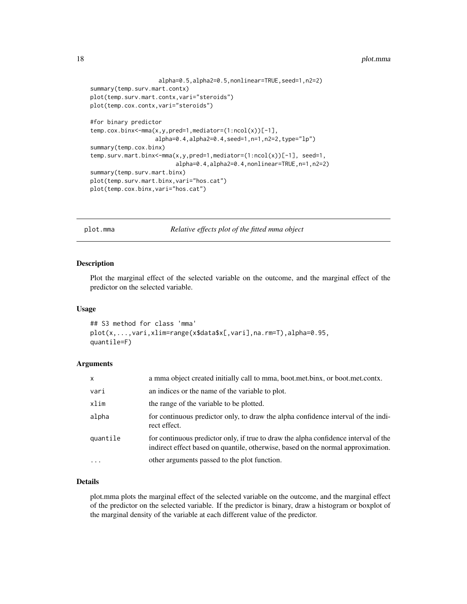#### <span id="page-17-0"></span>18 plot.mma

```
alpha=0.5,alpha2=0.5,nonlinear=TRUE,seed=1,n2=2)
summary(temp.surv.mart.contx)
plot(temp.surv.mart.contx,vari="steroids")
plot(temp.cox.contx,vari="steroids")
#for binary predictor
temp.cox.binx<-mma(x,y,pred=1,mediator=(1:ncol(x))[-1],
                   alpha=0.4,alpha2=0.4,seed=1,n=1,n2=2,type="lp")
summary(temp.cox.binx)
temp.surv.mart.binx<-mma(x,y,pred=1,mediator=(1:ncol(x))[-1], seed=1,
                         alpha=0.4,alpha2=0.4,nonlinear=TRUE,n=1,n2=2)
summary(temp.surv.mart.binx)
plot(temp.surv.mart.binx,vari="hos.cat")
plot(temp.cox.binx,vari="hos.cat")
```
plot.mma *Relative effects plot of the fitted mma object*

#### Description

Plot the marginal effect of the selected variable on the outcome, and the marginal effect of the predictor on the selected variable.

#### Usage

```
## S3 method for class 'mma'
plot(x,...,vari,xlim=range(x$data$x[,vari],na.rm=T),alpha=0.95,
quantile=F)
```
#### Arguments

| X        | a mma object created initially call to mma, boot.met.binx, or boot.met.contx.                                                                                           |
|----------|-------------------------------------------------------------------------------------------------------------------------------------------------------------------------|
| vari     | an indices or the name of the variable to plot.                                                                                                                         |
| xlim     | the range of the variable to be plotted.                                                                                                                                |
| alpha    | for continuous predictor only, to draw the alpha confidence interval of the indi-<br>rect effect.                                                                       |
| quantile | for continuous predictor only, if true to draw the alpha confidence interval of the<br>indirect effect based on quantile, otherwise, based on the normal approximation. |
| $\cdots$ | other arguments passed to the plot function.                                                                                                                            |

# Details

plot.mma plots the marginal effect of the selected variable on the outcome, and the marginal effect of the predictor on the selected variable. If the predictor is binary, draw a histogram or boxplot of the marginal density of the variable at each different value of the predictor.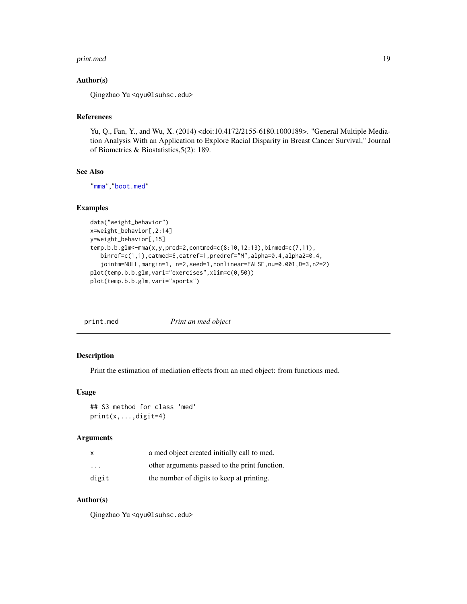#### <span id="page-18-0"></span>print.med 19

### Author(s)

Qingzhao Yu <qyu@lsuhsc.edu>

#### References

Yu, Q., Fan, Y., and Wu, X. (2014) <doi:10.4172/2155-6180.1000189>. "General Multiple Mediation Analysis With an Application to Explore Racial Disparity in Breast Cancer Survival," Journal of Biometrics & Biostatistics,5(2): 189.

# See Also

["mma"](#page-13-1),["boot.med"](#page-2-1)

# Examples

```
data("weight_behavior")
x=weight_behavior[,2:14]
y=weight_behavior[,15]
temp.b.b.glm<-mma(x,y,pred=2,contmed=c(8:10,12:13),binmed=c(7,11),
   binref=c(1,1),catmed=6,catref=1,predref="M",alpha=0.4,alpha2=0.4,
   jointm=NULL,margin=1, n=2,seed=1,nonlinear=FALSE,nu=0.001,D=3,n2=2)
plot(temp.b.b.glm,vari="exercises",xlim=c(0,50))
plot(temp.b.b.glm,vari="sports")
```

| print.med | Print an med object |
|-----------|---------------------|
|           |                     |

#### Description

Print the estimation of mediation effects from an med object: from functions med.

#### Usage

```
## S3 method for class 'med'
print(x,...,digit=4)
```
#### Arguments

| x                       | a med object created initially call to med.   |
|-------------------------|-----------------------------------------------|
| $\cdot$ $\cdot$ $\cdot$ | other arguments passed to the print function. |
| digit                   | the number of digits to keep at printing.     |

# Author(s)

Qingzhao Yu <qyu@lsuhsc.edu>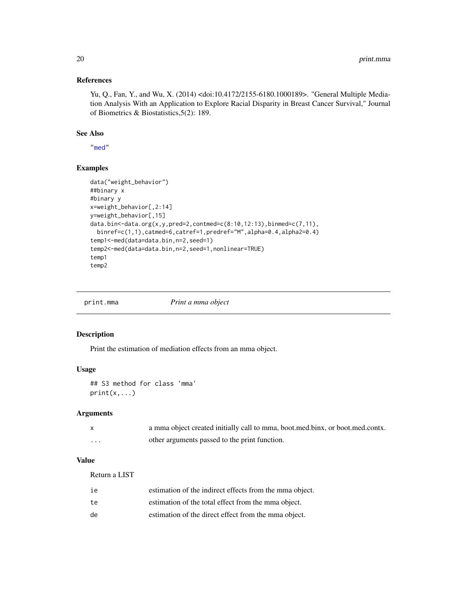# References

Yu, Q., Fan, Y., and Wu, X. (2014) <doi:10.4172/2155-6180.1000189>. "General Multiple Mediation Analysis With an Application to Explore Racial Disparity in Breast Cancer Survival," Journal of Biometrics & Biostatistics,5(2): 189.

#### See Also

["med"](#page-9-1)

# Examples

```
data("weight_behavior")
##binary x
#binary y
x=weight_behavior[,2:14]
y=weight_behavior[,15]
data.bin<-data.org(x,y,pred=2,contmed=c(8:10,12:13),binmed=c(7,11),
  binref=c(1,1),catmed=6,catref=1,predref="M",alpha=0.4,alpha2=0.4)
temp1<-med(data=data.bin,n=2,seed=1)
temp2<-med(data=data.bin,n=2,seed=1,nonlinear=TRUE)
temp1
temp2
```
Print a mma object

| print.mma |  |  |  |  |  |
|-----------|--|--|--|--|--|
|-----------|--|--|--|--|--|

#### Description

Print the estimation of mediation effects from an mma object.

# Usage

## S3 method for class 'mma' print(x,...)

# Arguments

|   | a mma object created initially call to mma, boot, med, binx, or boot, med, contx. |
|---|-----------------------------------------------------------------------------------|
| . | other arguments passed to the print function.                                     |

#### Value

Return a LIST

| ie | estimation of the indirect effects from the mma object. |
|----|---------------------------------------------------------|
| te | estimation of the total effect from the mma object.     |
| de | estimation of the direct effect from the mma object.    |

<span id="page-19-0"></span>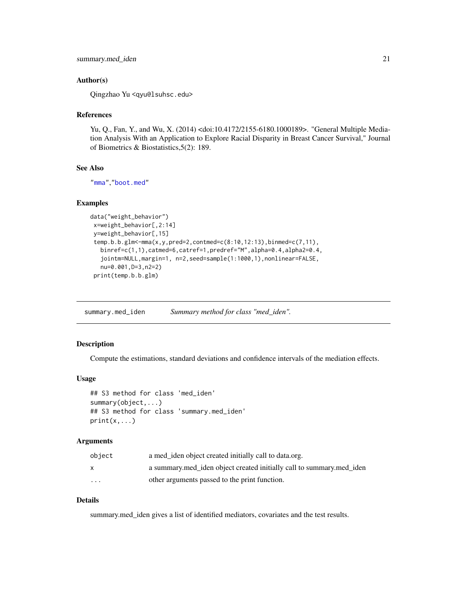### <span id="page-20-0"></span>Author(s)

Qingzhao Yu <qyu@lsuhsc.edu>

#### References

Yu, Q., Fan, Y., and Wu, X. (2014) <doi:10.4172/2155-6180.1000189>. "General Multiple Mediation Analysis With an Application to Explore Racial Disparity in Breast Cancer Survival," Journal of Biometrics & Biostatistics,5(2): 189.

# See Also

["mma"](#page-13-1),["boot.med"](#page-2-1)

#### Examples

```
data("weight_behavior")
x=weight_behavior[,2:14]
y=weight_behavior[,15]
temp.b.b.glm<-mma(x,y,pred=2,contmed=c(8:10,12:13),binmed=c(7,11),
  binref=c(1,1),catmed=6,catref=1,predref="M",alpha=0.4,alpha2=0.4,
   jointm=NULL,margin=1, n=2,seed=sample(1:1000,1),nonlinear=FALSE,
  nu=0.001,D=3,n2=2)
 print(temp.b.b.glm)
```
summary.med\_iden *Summary method for class "med\_iden".*

## Description

Compute the estimations, standard deviations and confidence intervals of the mediation effects.

#### Usage

```
## S3 method for class 'med_iden'
summary(object,...)
## S3 method for class 'summary.med_iden'
print(x, \ldots)
```
# Arguments

| object                  | a med iden object created initially call to data.org.                |
|-------------------------|----------------------------------------------------------------------|
|                         | a summary med_iden object created initially call to summary med_iden |
| $\cdot$ $\cdot$ $\cdot$ | other arguments passed to the print function.                        |

# Details

summary.med\_iden gives a list of identified mediators, covariates and the test results.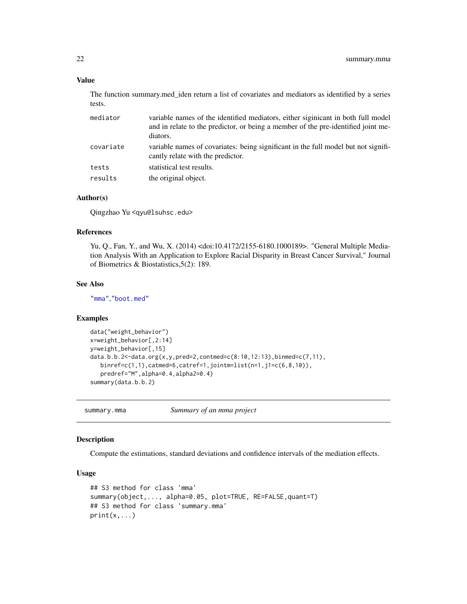#### Value

The function summary.med\_iden return a list of covariates and mediators as identified by a series tests.

| mediator  | variable names of the identified mediators, either siginicant in both full model<br>and in relate to the predictor, or being a member of the pre-identified joint me-<br>diators. |
|-----------|-----------------------------------------------------------------------------------------------------------------------------------------------------------------------------------|
| covariate | variable names of covariates: being significant in the full model but not signifi-<br>cantly relate with the predictor.                                                           |
| tests     | statistical test results.                                                                                                                                                         |
| results   | the original object.                                                                                                                                                              |

# Author(s)

Qingzhao Yu <qyu@lsuhsc.edu>

# References

Yu, Q., Fan, Y., and Wu, X. (2014) <doi:10.4172/2155-6180.1000189>. "General Multiple Mediation Analysis With an Application to Explore Racial Disparity in Breast Cancer Survival," Journal of Biometrics & Biostatistics,5(2): 189.

#### See Also

["mma"](#page-13-1),["boot.med"](#page-2-1)

#### Examples

```
data("weight_behavior")
x=weight_behavior[,2:14]
y=weight_behavior[,15]
data.b.b.2<-data.org(x,y,pred=2,contmed=c(8:10,12:13),binmed=c(7,11),
   binref=c(1,1),catmed=6,catref=1,jointm=list(n=1,j1=c(6,8,10)),
   predref="M",alpha=0.4,alpha2=0.4)
summary(data.b.b.2)
```
summary.mma *Summary of an mma project*

# Description

Compute the estimations, standard deviations and confidence intervals of the mediation effects.

#### Usage

```
## S3 method for class 'mma'
summary(object,..., alpha=0.05, plot=TRUE, RE=FALSE,quant=T)
## S3 method for class 'summary.mma'
print(x, \ldots)
```
<span id="page-21-0"></span>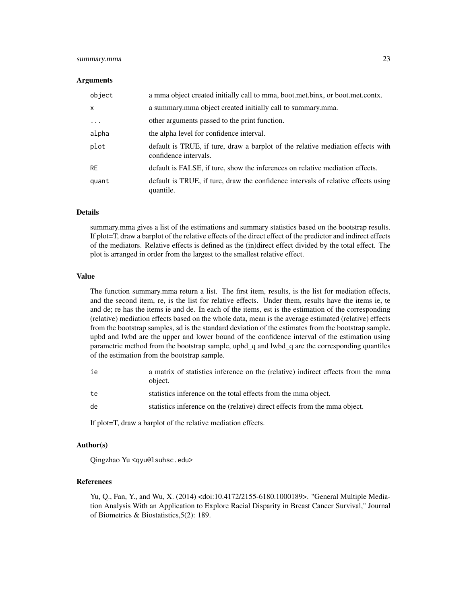# summary.mma 23

#### Arguments

| object       | a mma object created initially call to mma, boot.met.binx, or boot.met.contx.                            |
|--------------|----------------------------------------------------------------------------------------------------------|
| $\mathsf{x}$ | a summary mma object created initially call to summary mma.                                              |
| $\cdots$     | other arguments passed to the print function.                                                            |
| alpha        | the alpha level for confidence interval.                                                                 |
| plot         | default is TRUE, if ture, draw a barplot of the relative mediation effects with<br>confidence intervals. |
| <b>RE</b>    | default is FALSE, if ture, show the inferences on relative mediation effects.                            |
| quant        | default is TRUE, if ture, draw the confidence intervals of relative effects using<br>quantile.           |

#### **Details**

summary.mma gives a list of the estimations and summary statistics based on the bootstrap results. If plot=T, draw a barplot of the relative effects of the direct effect of the predictor and indirect effects of the mediators. Relative effects is defined as the (in)direct effect divided by the total effect. The plot is arranged in order from the largest to the smallest relative effect.

### Value

The function summary.mma return a list. The first item, results, is the list for mediation effects, and the second item, re, is the list for relative effects. Under them, results have the items ie, te and de; re has the items ie and de. In each of the items, est is the estimation of the corresponding (relative) mediation effects based on the whole data, mean is the average estimated (relative) effects from the bootstrap samples, sd is the standard deviation of the estimates from the bootstrap sample. upbd and lwbd are the upper and lower bound of the confidence interval of the estimation using parametric method from the bootstrap sample, upbd\_q and lwbd\_q are the corresponding quantiles of the estimation from the bootstrap sample.

| ie | a matrix of statistics inference on the (relative) indirect effects from the mma<br>object. |
|----|---------------------------------------------------------------------------------------------|
| te | statistics inference on the total effects from the mma object.                              |
| de | statistics inference on the (relative) direct effects from the mma object.                  |
|    |                                                                                             |

If plot=T, draw a barplot of the relative mediation effects.

#### Author(s)

Qingzhao Yu <qyu@lsuhsc.edu>

#### References

Yu, Q., Fan, Y., and Wu, X. (2014) <doi:10.4172/2155-6180.1000189>. "General Multiple Mediation Analysis With an Application to Explore Racial Disparity in Breast Cancer Survival," Journal of Biometrics & Biostatistics,5(2): 189.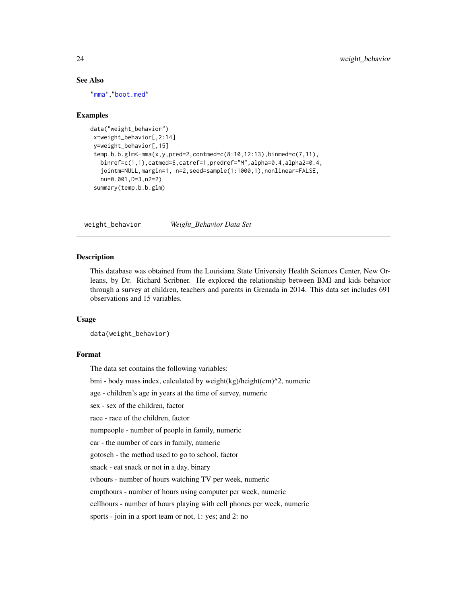#### <span id="page-23-0"></span>See Also

["mma"](#page-13-1),["boot.med"](#page-2-1)

#### Examples

```
data("weight_behavior")
x=weight_behavior[,2:14]
 y=weight_behavior[,15]
 temp.b.b.glm<-mma(x,y,pred=2,contmed=c(8:10,12:13),binmed=c(7,11),
  binref=c(1,1),catmed=6,catref=1,predref="M",alpha=0.4,alpha2=0.4,
   jointm=NULL,margin=1, n=2,seed=sample(1:1000,1),nonlinear=FALSE,
  nu=0.001,D=3,n2=2)
 summary(temp.b.b.glm)
```
weight\_behavior *Weight\_Behavior Data Set*

#### **Description**

This database was obtained from the Louisiana State University Health Sciences Center, New Orleans, by Dr. Richard Scribner. He explored the relationship between BMI and kids behavior through a survey at children, teachers and parents in Grenada in 2014. This data set includes 691 observations and 15 variables.

#### Usage

data(weight\_behavior)

#### Format

The data set contains the following variables:

bmi - body mass index, calculated by weight(kg)/height(cm)^2, numeric

age - children's age in years at the time of survey, numeric

sex - sex of the children, factor

race - race of the children, factor

numpeople - number of people in family, numeric

car - the number of cars in family, numeric

gotosch - the method used to go to school, factor

snack - eat snack or not in a day, binary

tvhours - number of hours watching TV per week, numeric

cmpthours - number of hours using computer per week, numeric

cellhours - number of hours playing with cell phones per week, numeric

sports - join in a sport team or not, 1: yes; and 2: no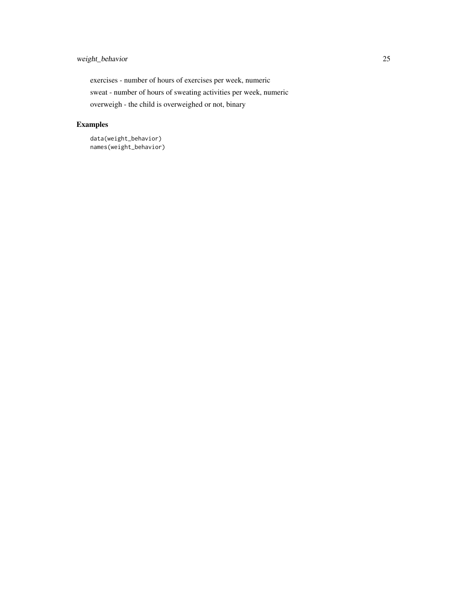exercises - number of hours of exercises per week, numeric sweat - number of hours of sweating activities per week, numeric overweigh - the child is overweighed or not, binary

# Examples

data(weight\_behavior) names(weight\_behavior)